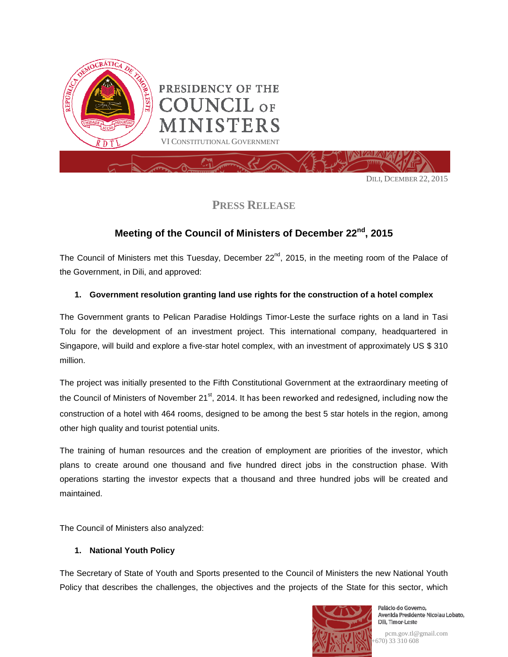

**PRESS RELEASE**

## **Meeting of the Council of Ministers of December 22nd, 2015**

The Council of Ministers met this Tuesday, December  $22^{nd}$ , 2015, in the meeting room of the Palace of the Government, in Dili, and approved:

## **1. Government resolution granting land use rights for the construction of a hotel complex**

The Government grants to Pelican Paradise Holdings Timor-Leste the surface rights on a land in Tasi Tolu for the development of an investment project. This international company, headquartered in Singapore, will build and explore a five-star hotel complex, with an investment of approximately US \$ 310 million.

The project was initially presented to the Fifth Constitutional Government at the extraordinary meeting of the Council of Ministers of November 21 $st$ , 2014. It has been reworked and redesigned, including now the construction of a hotel with 464 rooms, designed to be among the best 5 star hotels in the region, among other high quality and tourist potential units.

The training of human resources and the creation of employment are priorities of the investor, which plans to create around one thousand and five hundred direct jobs in the construction phase. With operations starting the investor expects that a thousand and three hundred jobs will be created and maintained.

The Council of Ministers also analyzed:

## **1. National Youth Policy**

The Secretary of State of Youth and Sports presented to the Council of Ministers the new National Youth Policy that describes the challenges, the objectives and the projects of the State for this sector, which



Palácio do Governo, Avenida Presidente Nicolau Lobato, Dili, Timor-Leste

pcm.gov.tl@gmail.com (+670) 33 310 608